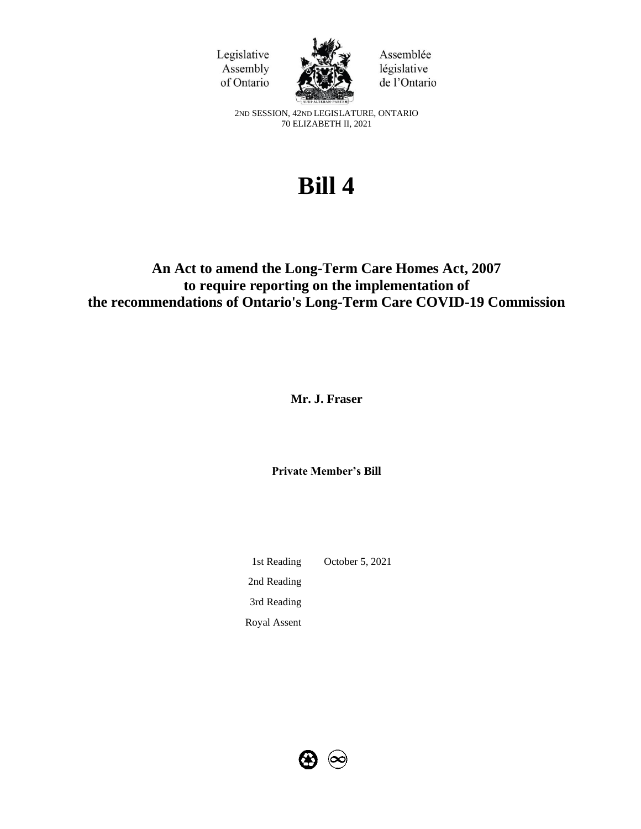



Assemblée législative de l'Ontario

2ND SESSION, 42ND LEGISLATURE, ONTARIO 70 ELIZABETH II, 2021

# **Bill 4**

# **An Act to amend the Long-Term Care Homes Act, 2007 to require reporting on the implementation of the recommendations of Ontario's Long-Term Care COVID-19 Commission**

**Mr. J. Fraser**

**Private Member's Bill**

1st Reading October 5, 2021 2nd Reading 3rd Reading Royal Assent